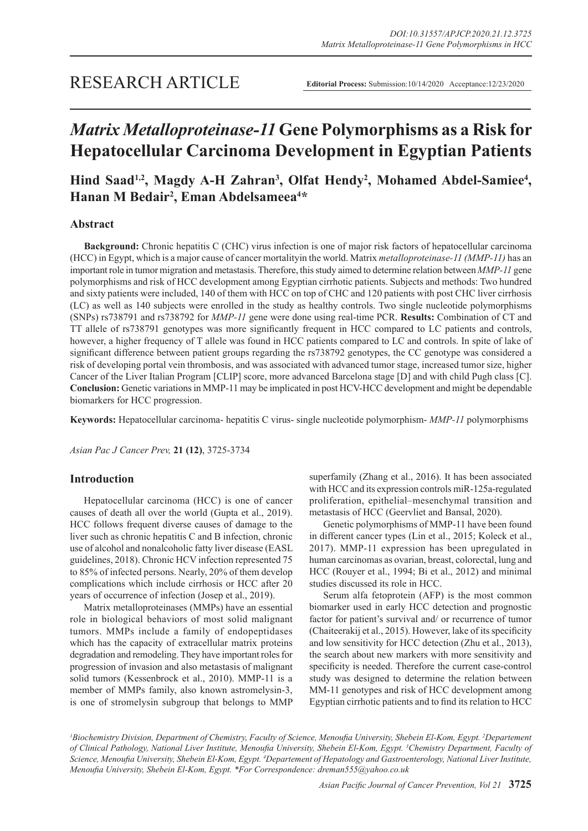# *Matrix Metalloproteinase-11* **Gene Polymorphisms as a Risk for Hepatocellular Carcinoma Development in Egyptian Patients**

# Hind Saad<sup>1,2</sup>, Magdy A-H Zahran<sup>3</sup>, Olfat Hendy<sup>2</sup>, Mohamed Abdel-Samiee<sup>4</sup>, **Hanan M Bedair2 , Eman Abdelsameea4 \***

# **Abstract**

**Background:** Chronic hepatitis C (CHC) virus infection is one of major risk factors of hepatocellular carcinoma (HCC) in Egypt, which is a major cause of cancer mortalityin the world. Matrix *metalloproteinase-11 (MMP-11)* has an important role in tumor migration and metastasis. Therefore, this study aimed to determine relation between *MMP-11* gene polymorphisms and risk of HCC development among Egyptian cirrhotic patients. Subjects and methods: Two hundred and sixty patients were included, 140 of them with HCC on top of CHC and 120 patients with post CHC liver cirrhosis (LC) as well as 140 subjects were enrolled in the study as healthy controls. Two single nucleotide polymorphisms (SNPs) rs738791 and rs738792 for *MMP-11* gene were done using real-time PCR. **Results:** Combination of CT and TT allele of rs738791 genotypes was more significantly frequent in HCC compared to LC patients and controls, however, a higher frequency of T allele was found in HCC patients compared to LC and controls. In spite of lake of significant difference between patient groups regarding the rs738792 genotypes, the CC genotype was considered a risk of developing portal vein thrombosis, and was associated with advanced tumor stage, increased tumor size, higher Cancer of the Liver Italian Program [CLIP] score, more advanced Barcelona stage [D] and with child Pugh class [C]. **Conclusion:** Genetic variations in MMP-11 may be implicated in post HCV-HCC development and might be dependable biomarkers for HCC progression.

**Keywords:** Hepatocellular carcinoma- hepatitis C virus- single nucleotide polymorphism- *MMP-11* polymorphisms

*Asian Pac J Cancer Prev,* **21 (12)**, 3725-3734

# **Introduction**

Hepatocellular carcinoma (HCC) is one of cancer causes of death all over the world (Gupta et al., 2019). HCC follows frequent diverse causes of damage to the liver such as chronic hepatitis C and B infection, chronic use of alcohol and nonalcoholic fatty liver disease (EASL guidelines, 2018). Chronic HCV infection represented 75 to 85% of infected persons. Nearly, 20% of them develop complications which include cirrhosis or HCC after 20 years of occurrence of infection (Josep et al., 2019).

Matrix metalloproteinases (MMPs) have an essential role in biological behaviors of most solid malignant tumors. MMPs include a family of endopeptidases which has the capacity of extracellular matrix proteins degradation and remodeling. They have important roles for progression of invasion and also metastasis of malignant solid tumors (Kessenbrock et al., 2010). MMP-11 is a member of MMPs family, also known astromelysin-3, is one of stromelysin subgroup that belongs to MMP superfamily (Zhang et al., 2016). It has been associated with HCC and its expression controls miR-125a-regulated proliferation, epithelial–mesenchymal transition and metastasis of HCC (Geervliet and Bansal, 2020).

Genetic polymorphisms of MMP-11 have been found in different cancer types (Lin et al., 2015; Koleck et al., 2017). MMP-11 expression has been upregulated in human carcinomas as ovarian, breast, colorectal, lung and HCC (Rouyer et al., 1994; Bi et al., 2012) and minimal studies discussed its role in HCC.

Serum alfa fetoprotein (AFP) is the most common biomarker used in early HCC detection and prognostic factor for patient's survival and/ or recurrence of tumor (Chaiteerakij et al., 2015). However, lake of its specificity and low sensitivity for HCC detection (Zhu et al., 2013), the search about new markers with more sensitivity and specificity is needed. Therefore the current case-control study was designed to determine the relation between MM-11 genotypes and risk of HCC development among Egyptian cirrhotic patients and to find its relation to HCC

<sup>1</sup>Biochemistry Division, Department of Chemistry, Faculty of Science, Menoufia University, Shebein El-Kom, Egypt. <sup>2</sup>Departement *of Clinical Pathology, National Liver Institute, Menoufia University, Shebein El-Kom, Egypt. <sup>3</sup> Chemistry Department, Faculty of Science, Menoufia University, Shebein El-Kom, Egypt. <sup>4</sup> Departement of Hepatology and Gastroenterology, National Liver Institute, Menoufia University, Shebein El-Kom, Egypt. \*For Correspondence: dreman555@yahoo.co.uk*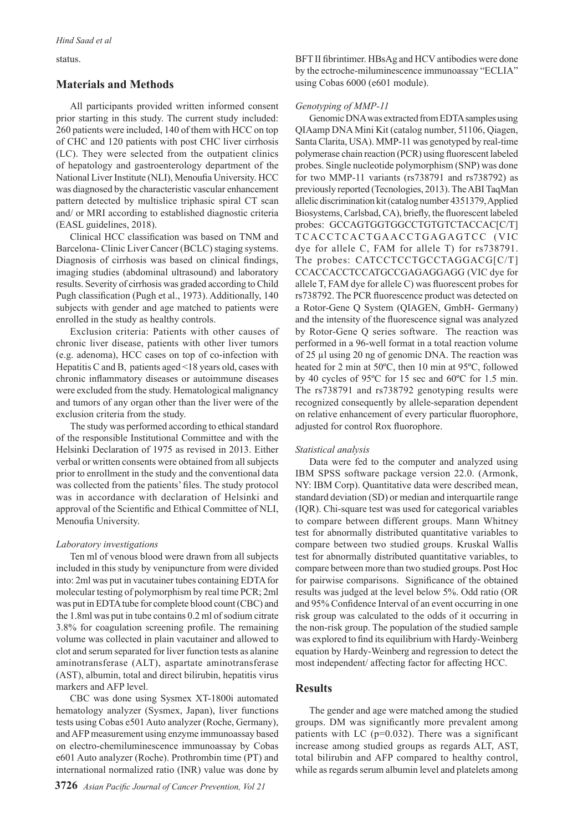#### status.

### **Materials and Methods**

All participants provided written informed consent prior starting in this study. The current study included: 260 patients were included, 140 of them with HCC on top of CHC and 120 patients with post CHC liver cirrhosis (LC). They were selected from the outpatient clinics of hepatology and gastroenterology department of the National Liver Institute (NLI), Menoufia University. HCC was diagnosed by the characteristic vascular enhancement pattern detected by multislice triphasic spiral CT scan and/ or MRI according to established diagnostic criteria (EASL guidelines, 2018).

Clinical HCC classification was based on TNM and Barcelona- Clinic Liver Cancer (BCLC) staging systems. Diagnosis of cirrhosis was based on clinical findings, imaging studies (abdominal ultrasound) and laboratory results. Severity of cirrhosis was graded according to Child Pugh classification (Pugh et al., 1973). Additionally, 140 subjects with gender and age matched to patients were enrolled in the study as healthy controls.

Exclusion criteria: Patients with other causes of chronic liver disease, patients with other liver tumors (e.g. adenoma), HCC cases on top of co-infection with Hepatitis C and B, patients aged <18 years old, cases with chronic inflammatory diseases or autoimmune diseases were excluded from the study. Hematological malignancy and tumors of any organ other than the liver were of the exclusion criteria from the study.

The study was performed according to ethical standard of the responsible Institutional Committee and with the Helsinki Declaration of 1975 as revised in 2013. Either verbal or written consents were obtained from all subjects prior to enrollment in the study and the conventional data was collected from the patients' files. The study protocol was in accordance with declaration of Helsinki and approval of the Scientific and Ethical Committee of NLI, Menoufia University.

#### *Laboratory investigations*

Ten ml of venous blood were drawn from all subjects included in this study by venipuncture from were divided into: 2ml was put in vacutainer tubes containing EDTA for molecular testing of polymorphism by real time PCR; 2ml was put in EDTA tube for complete blood count (CBC) and the 1.8ml was put in tube contains 0.2 ml of sodium citrate 3.8% for coagulation screening profile. The remaining volume was collected in plain vacutainer and allowed to clot and serum separated for liver function tests as alanine aminotransferase (ALT), aspartate aminotransferase (AST), albumin, total and direct bilirubin, hepatitis virus markers and AFP level.

CBC was done using Sysmex XT-1800i automated hematology analyzer (Sysmex, Japan), liver functions tests using Cobas e501 Auto analyzer (Roche, Germany), and AFP measurement using enzyme immunoassay based on electro-chemiluminescence immunoassay by Cobas e601 Auto analyzer (Roche). Prothrombin time (PT) and international normalized ratio (INR) value was done by

BFT II fibrintimer. HBsAg and HCV antibodies were done by the ectroche-miluminescence immunoassay "ECLIA" using Cobas 6000 (e601 module).

## *Genotyping of MMP-11*

Genomic DNA was extracted from EDTA samples using QIAamp DNA Mini Kit (catalog number, 51106, Qiagen, Santa Clarita, USA). MMP-11 was genotyped by real-time polymerase chain reaction (PCR) using fluorescent labeled probes. Single nucleotide polymorphism (SNP) was done for two MMP-11 variants (rs738791 and rs738792) as previously reported (Tecnologies, 2013). The ABI TaqMan allelic discrimination kit (catalog number 4351379, Applied Biosystems, Carlsbad, CA), briefly, the fluorescent labeled probes: GCCAGTGGTGGCCTGTGTCTACCAC[C/T] TCACCTCACTGAACCTGAGAGTCC (VIC dye for allele C, FAM for allele T) for rs738791. The probes: CATCCTCCTGCCTAGGACG[C/T] CCACCACCTCCATGCCGAGAGGAGG (VIC dye for allele T, FAM dye for allele C) was fluorescent probes for rs738792. The PCR fluorescence product was detected on a Rotor-Gene Q System (QIAGEN, GmbH- Germany) and the intensity of the fluorescence signal was analyzed by Rotor-Gene Q series software. The reaction was performed in a 96-well format in a total reaction volume of 25 µl using 20 ng of genomic DNA. The reaction was heated for 2 min at 50ºC, then 10 min at 95ºC, followed by 40 cycles of 95ºC for 15 sec and 60ºC for 1.5 min. The rs738791 and rs738792 genotyping results were recognized consequently by allele-separation dependent on relative enhancement of every particular fluorophore, adjusted for control Rox fluorophore.

#### *Statistical analysis*

Data were fed to the computer and analyzed using IBM SPSS software package version 22.0. (Armonk, NY: IBM Corp). Quantitative data were described mean, standard deviation (SD) or median and interquartile range (IQR). Chi-square test was used for categorical variables to compare between different groups. Mann Whitney test for abnormally distributed quantitative variables to compare between two studied groups. Kruskal Wallis test for abnormally distributed quantitative variables, to compare between more than two studied groups. Post Hoc for pairwise comparisons. Significance of the obtained results was judged at the level below 5%. Odd ratio (OR and 95% Confidence Interval of an event occurring in one risk group was calculated to the odds of it occurring in the non-risk group. The population of the studied sample was explored to find its equilibrium with Hardy-Weinberg equation by Hardy-Weinberg and regression to detect the most independent/ affecting factor for affecting HCC.

# **Results**

The gender and age were matched among the studied groups. DM was significantly more prevalent among patients with LC ( $p=0.032$ ). There was a significant increase among studied groups as regards ALT, AST, total bilirubin and AFP compared to healthy control, while as regards serum albumin level and platelets among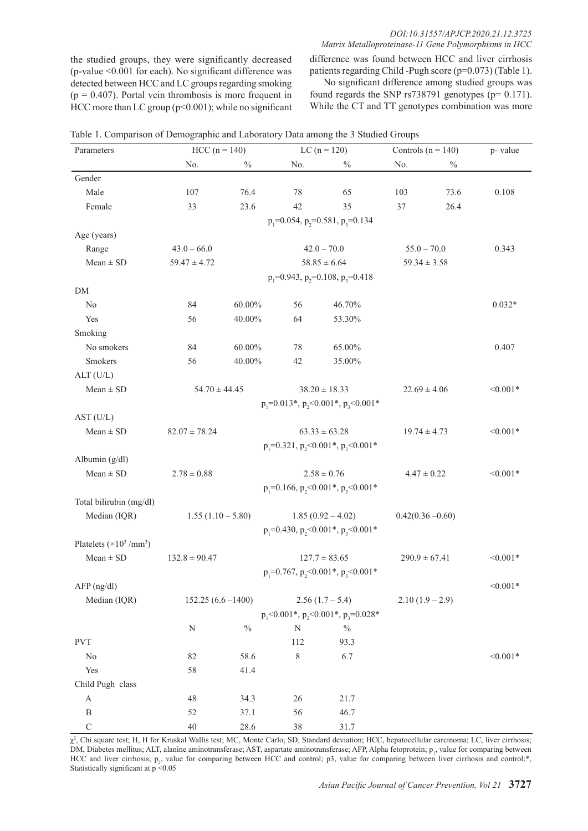the studied groups, they were significantly decreased (p-value <0.001 for each). No significant difference was detected between HCC and LC groups regarding smoking  $(p = 0.407)$ . Portal vein thrombosis is more frequent in HCC more than LC group  $(p<0.001)$ ; while no significant difference was found between HCC and liver cirrhosis patients regarding Child -Pugh score (p=0.073) (Table 1).

No significant difference among studied groups was found regards the SNP rs738791 genotypes (p= 0.171). While the CT and TT genotypes combination was more

| Parameters                                              | $HCC (n = 140)$      |               | LC $(n = 120)$                                                 |                                                   |                     | Controls ( $n = 140$ ) |            |
|---------------------------------------------------------|----------------------|---------------|----------------------------------------------------------------|---------------------------------------------------|---------------------|------------------------|------------|
|                                                         | No.                  | $\%$          | No.                                                            | $\%$                                              | No.                 | $\%$                   | p-value    |
| Gender                                                  |                      |               |                                                                |                                                   |                     |                        |            |
| Male                                                    | 107                  | 76.4          | 78                                                             | 65                                                | 103                 | 73.6                   | 0.108      |
| Female                                                  | 33                   | 23.6          | 42                                                             | 35                                                | 37                  | 26.4                   |            |
|                                                         |                      |               |                                                                | $p_1 = 0.054$ , $p_2 = 0.581$ , $p_3 = 0.134$     |                     |                        |            |
| Age (years)                                             |                      |               |                                                                |                                                   |                     |                        |            |
| Range                                                   | $43.0 - 66.0$        |               |                                                                | $42.0 - 70.0$                                     | $55.0 - 70.0$       |                        | 0.343      |
| $Mean \pm SD$                                           | $59.47 \pm 4.72$     |               |                                                                | $58.85 \pm 6.64$                                  | $59.34 \pm 3.58$    |                        |            |
|                                                         |                      |               |                                                                | $p_1 = 0.943$ , $p_2 = 0.108$ , $p_3 = 0.418$     |                     |                        |            |
| ${\rm DM}$                                              |                      |               |                                                                |                                                   |                     |                        |            |
| No                                                      | 84                   | $60.00\%$     | 56                                                             | 46.70%                                            |                     |                        | $0.032*$   |
| Yes                                                     | 56                   | 40.00%        | 64                                                             | 53.30%                                            |                     |                        |            |
| Smoking                                                 |                      |               |                                                                |                                                   |                     |                        |            |
| No smokers                                              | 84                   | $60.00\%$     | 78                                                             | 65.00%                                            |                     |                        | 0.407      |
| Smokers                                                 | 56                   | 40.00%        | 42                                                             | 35.00%                                            |                     |                        |            |
| ALT (U/L)                                               |                      |               |                                                                |                                                   |                     |                        |            |
| $Mean \pm SD$                                           | $54.70 \pm 44.45$    |               | $38.20 \pm 18.33$                                              |                                                   | $22.69 \pm 4.06$    |                        | $< 0.001*$ |
|                                                         |                      |               |                                                                | $p_1 = 0.013$ *, $p_2 < 0.001$ *, $p_3 < 0.001$ * |                     |                        |            |
| AST (U/L)                                               |                      |               |                                                                |                                                   |                     |                        |            |
| $Mean \pm SD$                                           | $82.07 \pm 78.24$    |               | $63.33 \pm 63.28$                                              |                                                   | $19.74 \pm 4.73$    |                        | $< 0.001*$ |
|                                                         |                      |               |                                                                | $p_1 = 0.321$ , $p_2 < 0.001$ *, $p_3 < 0.001$ *  |                     |                        |            |
| Albumin (g/dl)                                          |                      |               |                                                                |                                                   |                     |                        |            |
| $Mean \pm SD$                                           | $2.78 \pm 0.88$      |               | $2.58 \pm 0.76$                                                |                                                   | $4.47 \pm 0.22$     |                        | $< 0.001*$ |
|                                                         |                      |               |                                                                | $p_1 = 0.166$ , $p_2 < 0.001$ *, $p_3 < 0.001$ *  |                     |                        |            |
| Total bilirubin (mg/dl)                                 |                      |               |                                                                |                                                   |                     |                        |            |
| Median (IQR)                                            | $1.55(1.10 - 5.80)$  |               |                                                                | $1.85(0.92 - 4.02)$                               | $0.42(0.36 - 0.60)$ |                        |            |
|                                                         |                      |               |                                                                | $p_1 = 0.430$ , $p_2 < 0.001$ *, $p_3 < 0.001$ *  |                     |                        |            |
| Platelets ( $\times$ 10 <sup>3</sup> /mm <sup>3</sup> ) |                      |               |                                                                |                                                   |                     |                        |            |
| $Mean \pm SD$                                           | $132.8 \pm 90.47$    |               |                                                                | $127.7 \pm 83.65$                                 |                     | $290.9 \pm 67.41$      | $< 0.001*$ |
|                                                         |                      |               |                                                                | $p_1 = 0.767$ , $p_2 < 0.001$ *, $p_3 < 0.001$ *  |                     |                        |            |
| AFP(ng/dl)                                              |                      |               |                                                                |                                                   |                     |                        | $< 0.001*$ |
| Median (IQR)                                            | $152.25(6.6 - 1400)$ |               | $2.56(1.7-5.4)$<br>$p_1$ <0.001*, $p_2$ <0.001*, $p_3$ =0.028* |                                                   | $2.10(1.9-2.9)$     |                        |            |
|                                                         |                      |               |                                                                |                                                   |                     |                        |            |
|                                                         | N                    | $\frac{0}{0}$ | $\mathbf N$                                                    | $\%$                                              |                     |                        |            |
| $\ensuremath{\mathrm{PVT}}$                             |                      |               | 112                                                            | 93.3                                              |                     |                        |            |
| No                                                      | 82                   | 58.6          | 8                                                              | 6.7                                               |                     |                        | $< 0.001*$ |
| Yes                                                     | 58                   | 41.4          |                                                                |                                                   |                     |                        |            |
| Child Pugh class                                        |                      |               |                                                                |                                                   |                     |                        |            |
| $\mathbf{A}$                                            | 48                   | 34.3          | 26                                                             | 21.7                                              |                     |                        |            |
| $\, {\bf B}$                                            | 52                   | 37.1          | 56                                                             | 46.7                                              |                     |                        |            |
| $\mathbf C$                                             | $40\,$               | 28.6          | 38                                                             | 31.7                                              |                     |                        |            |

Table 1. Comparison of Demographic and Laboratory Data among the 3 Studied Groups

χ2 , Chi square test; H, H for Kruskal Wallis test; MC, Monte Carlo; SD, Standard deviation; HCC, hepatocellular carcinoma; LC, liver cirrhosis; DM, Diabetes mellitus; ALT, alanine aminotransferase; AST, aspartate aminotransferase; AFP, Alpha fetoprotein; p<sub>1</sub>, value for comparing between HCC and liver cirrhosis;  $p_2$ , value for comparing between HCC and control; p3, value for comparing between liver cirrhosis and control;\*, Statistically significant at  $p < 0.05$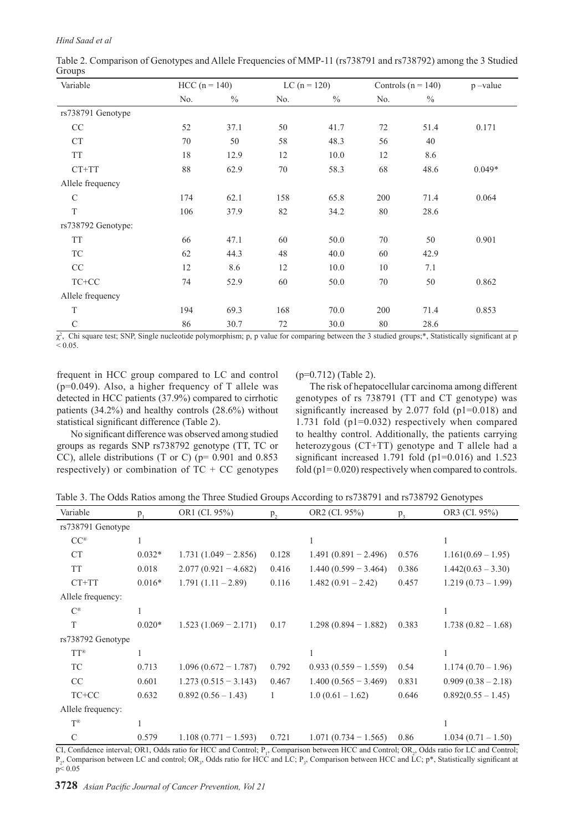| Table 2. Comparison of Genotypes and Allele Frequencies of MMP-11 (rs738791 and rs738792) among the 3 Studied |  |
|---------------------------------------------------------------------------------------------------------------|--|
| Groups                                                                                                        |  |

| Variable                              | $HCC (n = 140)$       |               | LC $(n = 120)$ |      | Controls ( $n = 140$ ) |               | $p$ -value              |
|---------------------------------------|-----------------------|---------------|----------------|------|------------------------|---------------|-------------------------|
|                                       | No.                   | $\frac{0}{0}$ | No.            | $\%$ | No.                    | $\frac{0}{0}$ |                         |
| rs738791 Genotype                     |                       |               |                |      |                        |               |                         |
| CC                                    | 52                    | 37.1          | 50             | 41.7 | 72                     | 51.4          | 0.171                   |
| <b>CT</b>                             | 70                    | 50            | 58             | 48.3 | 56                     | 40            |                         |
| <b>TT</b>                             | 18                    | 12.9          | 12             | 10.0 | 12                     | 8.6           |                         |
| $CT+TT$                               | 88                    | 62.9          | 70             | 58.3 | 68                     | 48.6          | $0.049*$                |
| Allele frequency                      |                       |               |                |      |                        |               |                         |
| $\mathcal{C}$                         | 174                   | 62.1          | 158            | 65.8 | 200                    | 71.4          | 0.064                   |
| $\mathbf T$                           | 106                   | 37.9          | 82             | 34.2 | 80                     | 28.6          |                         |
| rs738792 Genotype:                    |                       |               |                |      |                        |               |                         |
| <b>TT</b>                             | 66                    | 47.1          | 60             | 50.0 | 70                     | 50            | 0.901                   |
| TC                                    | 62                    | 44.3          | 48             | 40.0 | 60                     | 42.9          |                         |
| $\rm CC$                              | 12                    | 8.6           | 12             | 10.0 | 10                     | 7.1           |                         |
| $TC+CC$                               | 74                    | 52.9          | 60             | 50.0 | 70                     | 50            | 0.862                   |
| Allele frequency                      |                       |               |                |      |                        |               |                         |
| $\mathbf T$                           | 194                   | 69.3          | 168            | 70.0 | 200                    | 71.4          | 0.853                   |
| $\mathcal{C}$                         | 86                    | 30.7          | 72             | 30.0 | 80                     | 28.6          |                         |
| $2 \quad \sim 1$<br>$(1, 0)$ $(2, 1)$ | 1.7.1<br>$\mathbf{1}$ | $\cdots$      | $\sim$         | .    | $(1 - 2)$ $(1 - 1)$    |               | $4.0.01 \times 10^{-1}$ |

 $\chi^2$ , Chi square test; SNP, Single nucleotide polymorphism; p, p value for comparing between the 3 studied groups;\*, Statistically significant at p  $< 0.05$ .

frequent in HCC group compared to LC and control  $(p=0.049)$ . Also, a higher frequency of T allele was detected in HCC patients (37.9%) compared to cirrhotic patients (34.2%) and healthy controls (28.6%) without statistical significant difference (Table 2).

No significant difference was observed among studied groups as regards SNP rs738792 genotype (TT, TC or CC), allele distributions (T or C) (p= 0.901 and 0.853 respectively) or combination of  $TC + CC$  genotypes (p=0.712) (Table 2).

The risk of hepatocellular carcinoma among different genotypes of rs 738791 (TT and CT genotype) was significantly increased by 2.077 fold (p1=0.018) and 1.731 fold (p1=0.032) respectively when compared to healthy control. Additionally, the patients carrying heterozygous (CT+TT) genotype and T allele had a significant increased 1.791 fold (p1=0.016) and 1.523 fold ( $p1 = 0.020$ ) respectively when compared to controls.

|  | Table 3. The Odds Ratios among the Three Studied Groups According to rs738791 and rs738792 Genotypes |  |  |  |
|--|------------------------------------------------------------------------------------------------------|--|--|--|
|  |                                                                                                      |  |  |  |

| Variable          | $p_1$    | OR1 (CI. 95%)          | p,    | OR2 (CI. 95%)          | $p_{3}$ | OR3 (CI. 95%)        |
|-------------------|----------|------------------------|-------|------------------------|---------|----------------------|
| rs738791 Genotype |          |                        |       |                        |         |                      |
| $CC^{\circledR}$  |          |                        |       |                        |         |                      |
| <b>CT</b>         | $0.032*$ | $1.731(1.049 - 2.856)$ | 0.128 | $1.491(0.891 - 2.496)$ | 0.576   | $1.161(0.69 - 1.95)$ |
| <b>TT</b>         | 0.018    | $2.077(0.921 - 4.682)$ | 0.416 | $1.440(0.599 - 3.464)$ | 0.386   | $1.442(0.63 - 3.30)$ |
| CT+TT             | $0.016*$ | $1.791(1.11 - 2.89)$   | 0.116 | $1.482(0.91 - 2.42)$   | 0.457   | $1.219(0.73-1.99)$   |
| Allele frequency: |          |                        |       |                        |         |                      |
| $C^{\circledR}$   |          |                        |       |                        |         |                      |
| T                 | $0.020*$ | $1.523(1.069 - 2.171)$ | 0.17  | $1.298(0.894 - 1.882)$ | 0.383   | $1.738(0.82 - 1.68)$ |
| rs738792 Genotype |          |                        |       |                        |         |                      |
| $TT^{\circledR}$  | 1        |                        |       |                        |         |                      |
| <b>TC</b>         | 0.713    | $1.096(0.672 - 1.787)$ | 0.792 | $0.933(0.559 - 1.559)$ | 0.54    | $1.174(0.70-1.96)$   |
| CC                | 0.601    | $1.273(0.515 - 3.143)$ | 0.467 | $1.400(0.565 - 3.469)$ | 0.831   | $0.909(0.38-2.18)$   |
| TC+CC             | 0.632    | $0.892(0.56 - 1.43)$   | 1     | $1.0(0.61 - 1.62)$     | 0.646   | $0.892(0.55 - 1.45)$ |
| Allele frequency: |          |                        |       |                        |         |                      |
| $T^{\circledR}$   |          |                        |       |                        |         |                      |
| $\mathcal{C}$     | 0.579    | $1.108(0.771 - 1.593)$ | 0.721 | $1.071(0.734 - 1.565)$ | 0.86    | $1.034(0.71-1.50)$   |

CI, Confidence interval; OR1, Odds ratio for HCC and Control;  $P_1$ , Comparison between HCC and Control; OR<sub>2</sub>, Odds ratio for LC and Control;  $P_2$ , Comparison between LC and control; OR<sub>3</sub>, Odds ratio for HCC and LC;  $P_3$ , Comparison between HCC and LC;  $P^*$ , Statistically significant at p< 0.05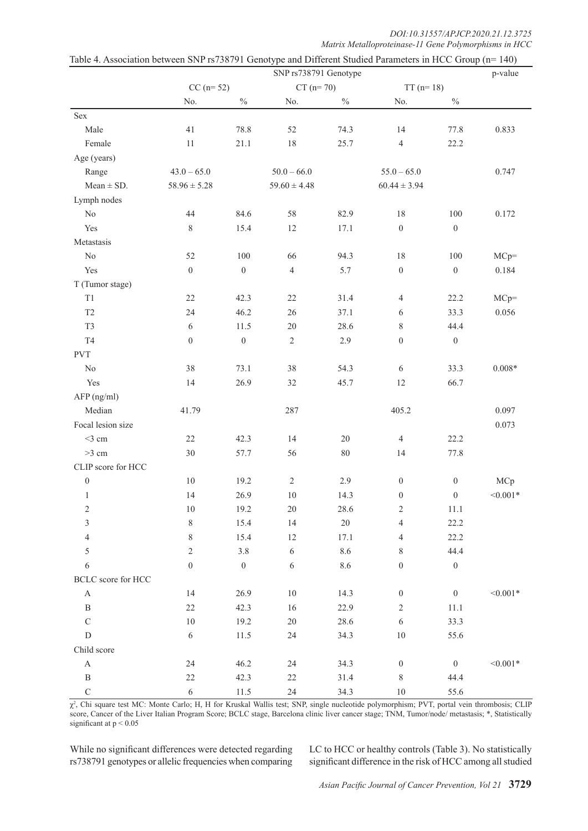| DOI:10.31557/APJCP.2020.21.12.3725                    |
|-------------------------------------------------------|
| Matrix Metalloproteinase-11 Gene Polymorphisms in HCC |

|                       |                  |                  | SNP rs738791 Genotype |               |                          |                  | p-value    |
|-----------------------|------------------|------------------|-----------------------|---------------|--------------------------|------------------|------------|
|                       | $CC (n= 52)$     |                  | $CT (n = 70)$         |               | $TT(n=18)$               |                  |            |
|                       | No.              | $\frac{0}{0}$    | No.                   | $\frac{0}{0}$ | No.                      | $\sqrt[0]{\!0}$  |            |
| Sex                   |                  |                  |                       |               |                          |                  |            |
| Male                  | 41               | 78.8             | 52                    | 74.3          | 14                       | 77.8             | 0.833      |
| Female                | $11\,$           | 21.1             | 18                    | 25.7          | $\sqrt{4}$               | 22.2             |            |
| Age (years)           |                  |                  |                       |               |                          |                  |            |
| Range                 | $43.0 - 65.0$    |                  | $50.0 - 66.0$         |               | $55.0 - 65.0$            |                  | 0.747      |
| $Mean \pm SD$ .       | $58.96 \pm 5.28$ |                  | $59.60 \pm 4.48$      |               | $60.44 \pm 3.94$         |                  |            |
| Lymph nodes           |                  |                  |                       |               |                          |                  |            |
| $\rm No$              | 44               | 84.6             | 58                    | 82.9          | $18\,$                   | $100\,$          | 0.172      |
| Yes                   | $8\,$            | 15.4             | 12                    | 17.1          | $\boldsymbol{0}$         | $\boldsymbol{0}$ |            |
| Metastasis            |                  |                  |                       |               |                          |                  |            |
| No                    | 52               | 100              | 66                    | 94.3          | $18\,$                   | $100\,$          | $MCp=$     |
| Yes                   | $\boldsymbol{0}$ | $\boldsymbol{0}$ | $\overline{4}$        | 5.7           | $\boldsymbol{0}$         | $\boldsymbol{0}$ | 0.184      |
| T (Tumor stage)       |                  |                  |                       |               |                          |                  |            |
| T1                    | 22               | 42.3             | 22                    | 31.4          | $\overline{4}$           | 22.2             | $MCp=$     |
| T <sub>2</sub>        | 24               | 46.2             | 26                    | 37.1          | 6                        | 33.3             | 0.056      |
| T <sub>3</sub>        | 6                | 11.5             | 20                    | 28.6          | $8\,$                    | 44.4             |            |
| $\operatorname{T4}$   | $\boldsymbol{0}$ | $\boldsymbol{0}$ | $\sqrt{2}$            | 2.9           | $\boldsymbol{0}$         | $\boldsymbol{0}$ |            |
| <b>PVT</b>            |                  |                  |                       |               |                          |                  |            |
| $\rm No$              | 38               | 73.1             | 38                    | 54.3          | 6                        | 33.3             | $0.008*$   |
| Yes                   | 14               | 26.9             | 32                    | 45.7          | $12\,$                   | 66.7             |            |
| AFP (ng/ml)           |                  |                  |                       |               |                          |                  |            |
| Median                | 41.79            |                  | 287                   |               | 405.2                    |                  | 0.097      |
| Focal lesion size     |                  |                  |                       |               |                          |                  | 0.073      |
| $<$ 3 cm              | 22               | 42.3             | 14                    | 20            | $\overline{4}$           | 22.2             |            |
| $>3$ cm               | 30               | 57.7             | 56                    | $80\,$        | 14                       | 77.8             |            |
| CLIP score for HCC    |                  |                  |                       |               |                          |                  |            |
| $\boldsymbol{0}$      | $10\,$           | 19.2             | $\sqrt{2}$            | 2.9           | $\boldsymbol{0}$         | $\boldsymbol{0}$ | MCp        |
| $\mathbf{1}$          | 14               | 26.9             | $10\,$                | 14.3          | $\boldsymbol{0}$         | $\boldsymbol{0}$ | $< 0.001*$ |
| $\overline{c}$        | 10               | 19.2             | 20                    | 28.6          | $\overline{c}$           | 11.1             |            |
| 3                     | $\,$ $\,$        | 15.4             | 14                    | $20\,$        | $\overline{\mathcal{L}}$ | 22.2             |            |
| $\overline{4}$        | $\,$ $\,$        | 15.4             | $12\,$                | 17.1          | 4                        | 22.2             |            |
| 5                     | $\sqrt{2}$       | $3.8\,$          | $\sqrt{6}$            | 8.6           | 8                        | 44.4             |            |
| $\sqrt{6}$            | $\boldsymbol{0}$ | $\boldsymbol{0}$ | $\sqrt{6}$            | 8.6           | $\boldsymbol{0}$         | $\boldsymbol{0}$ |            |
| BCLC score for HCC    |                  |                  |                       |               |                          |                  |            |
| $\mathbf{A}$          | 14               | 26.9             | 10                    | 14.3          | $\boldsymbol{0}$         | $\boldsymbol{0}$ | $< 0.001*$ |
| $\, {\bf B}$          | 22               | 42.3             | 16                    | 22.9          | $\sqrt{2}$               | $11.1\,$         |            |
| $\mathbf C$           | $10\,$           | 19.2             | $20\,$                | 28.6          | $\sqrt{6}$               | 33.3             |            |
| ${\rm D}$             | $\sqrt{6}$       | 11.5             | 24                    | 34.3          | $10\,$                   | 55.6             |            |
| Child score           |                  |                  |                       |               |                          |                  |            |
| $\boldsymbol{\rm{A}}$ | 24               | 46.2             | 24                    | 34.3          | $\boldsymbol{0}$         | $\boldsymbol{0}$ | $< 0.001*$ |
| $\, {\bf B}$          | $22\,$           | 42.3             | $22\,$                | 31.4          | $\,$ $\,$                | 44.4             |            |
| $\mathbf C$           | $\sqrt{6}$       | $11.5\,$         | 24                    | 34.3          | $10\,$                   | 55.6             |            |

| Table 4. Association between SNP rs738791 Genotype and Different Studied Parameters in HCC Group (n= 140) |
|-----------------------------------------------------------------------------------------------------------|
|-----------------------------------------------------------------------------------------------------------|

χ2 , Chi square test MC: Monte Carlo; H, H for Kruskal Wallis test; SNP, single nucleotide polymorphism; PVT, portal vein thrombosis; CLIP score, Cancer of the Liver Italian Program Score; BCLC stage, Barcelona clinic liver cancer stage; TNM, Tumor/node/ metastasis; \*, Statistically significant at  $p < 0.05$ 

While no significant differences were detected regarding rs738791 genotypes or allelic frequencies when comparing LC to HCC or healthy controls (Table 3). No statistically significant difference in the risk of HCC among all studied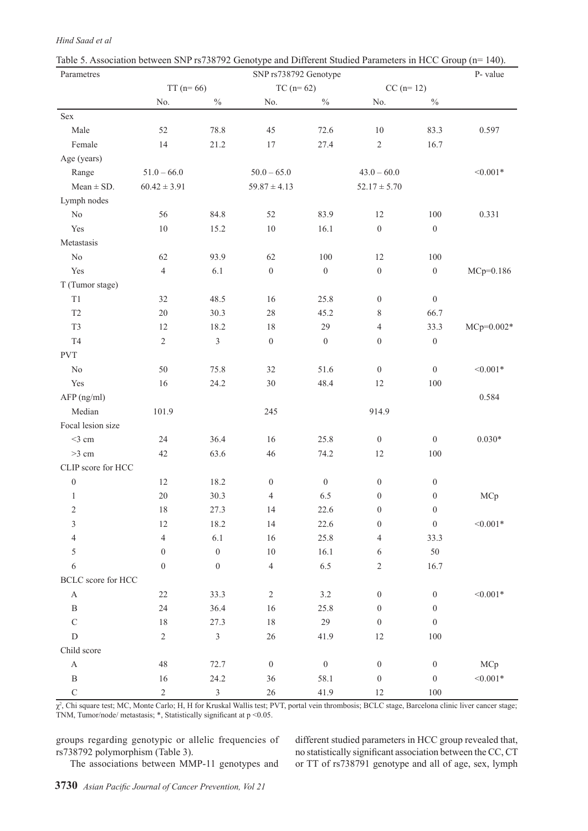| Hind Saad et al |
|-----------------|
|                 |

| radic 9. Association between 51x1-13796792 Genotype and Different Budded Farameters in FICC Group (if<br>Parametres |                  |                  | SNP rs738792 Genotype |                  |                    |                  | $1 - 1$<br>P-value |
|---------------------------------------------------------------------------------------------------------------------|------------------|------------------|-----------------------|------------------|--------------------|------------------|--------------------|
|                                                                                                                     | $TT(n=66)$       |                  |                       | $TC (n = 62)$    |                    |                  |                    |
|                                                                                                                     | No.              | $\frac{0}{0}$    | No.                   | $\%$             | $CC (n=12)$<br>No. | $\frac{0}{0}$    |                    |
| Sex                                                                                                                 |                  |                  |                       |                  |                    |                  |                    |
| Male                                                                                                                | 52               | 78.8             | 45                    | 72.6             | $10\,$             | 83.3             | 0.597              |
| Female                                                                                                              | 14               | 21.2             | 17                    | 27.4             | $\sqrt{2}$         | 16.7             |                    |
| Age (years)                                                                                                         |                  |                  |                       |                  |                    |                  |                    |
| Range                                                                                                               | $51.0 - 66.0$    |                  | $50.0 - 65.0$         |                  | $43.0 - 60.0$      |                  | $< 0.001*$         |
| $Mean \pm SD$ .                                                                                                     | $60.42 \pm 3.91$ |                  | $59.87 \pm 4.13$      |                  | $52.17 \pm 5.70$   |                  |                    |
| Lymph nodes                                                                                                         |                  |                  |                       |                  |                    |                  |                    |
| $\rm No$                                                                                                            | 56               | 84.8             | 52                    | 83.9             | 12                 | 100              | 0.331              |
| Yes                                                                                                                 | $10\,$           | 15.2             | $10\,$                | 16.1             | $\boldsymbol{0}$   | $\boldsymbol{0}$ |                    |
| Metastasis                                                                                                          |                  |                  |                       |                  |                    |                  |                    |
| $\rm No$                                                                                                            | 62               | 93.9             | 62                    | $100\,$          | 12                 | $100\,$          |                    |
| Yes                                                                                                                 | $\overline{4}$   | 6.1              | $\boldsymbol{0}$      | $\boldsymbol{0}$ | $\boldsymbol{0}$   | $\boldsymbol{0}$ | MCp=0.186          |
| T (Tumor stage)                                                                                                     |                  |                  |                       |                  |                    |                  |                    |
| $\mathrm{T}1$                                                                                                       | 32               | 48.5             | 16                    | 25.8             | $\boldsymbol{0}$   | $\boldsymbol{0}$ |                    |
| $\mathsf{T}2$                                                                                                       | $20\,$           | 30.3             | $28\,$                | 45.2             | 8                  | 66.7             |                    |
| T <sub>3</sub>                                                                                                      | 12               | 18.2             | 18                    | 29               | $\overline{4}$     | 33.3             | $MCp=0.002*$       |
| T <sub>4</sub>                                                                                                      | $\overline{2}$   | $\mathfrak{Z}$   | $\boldsymbol{0}$      | $\boldsymbol{0}$ | $\boldsymbol{0}$   | $\boldsymbol{0}$ |                    |
| <b>PVT</b>                                                                                                          |                  |                  |                       |                  |                    |                  |                    |
| $\rm No$                                                                                                            | 50               | 75.8             | 32                    | 51.6             | $\boldsymbol{0}$   | $\boldsymbol{0}$ | $< 0.001*$         |
| Yes                                                                                                                 | 16               | 24.2             | $30\,$                | 48.4             | 12                 | $100\,$          |                    |
| AFP (ng/ml)                                                                                                         |                  |                  |                       |                  |                    |                  | 0.584              |
| Median                                                                                                              | 101.9            |                  | 245                   |                  | 914.9              |                  |                    |
| Focal lesion size                                                                                                   |                  |                  |                       |                  |                    |                  |                    |
| $<$ 3 cm                                                                                                            | 24               | 36.4             | 16                    | 25.8             | $\boldsymbol{0}$   | $\boldsymbol{0}$ | $0.030*$           |
| $>3$ cm                                                                                                             | 42               | 63.6             | 46                    | 74.2             | 12                 | $100\,$          |                    |
| CLIP score for HCC                                                                                                  |                  |                  |                       |                  |                    |                  |                    |
| $\boldsymbol{0}$                                                                                                    | $12\,$           | 18.2             | $\boldsymbol{0}$      | $\boldsymbol{0}$ | $\boldsymbol{0}$   | $\boldsymbol{0}$ |                    |
| $\mathbf{1}$                                                                                                        | $20\,$           | 30.3             | $\overline{4}$        | 6.5              | $\boldsymbol{0}$   | $\boldsymbol{0}$ | MCp                |
| $\sqrt{2}$                                                                                                          | 18               | 27.3             | 14                    | 22.6             | $\boldsymbol{0}$   | $\boldsymbol{0}$ |                    |
| 3                                                                                                                   | $12\,$           | 18.2             | 14                    | 22.6             | $\boldsymbol{0}$   | $\boldsymbol{0}$ | $< 0.001*$         |
| $\overline{4}$                                                                                                      | $\overline{4}$   | 6.1              | 16                    | 25.8             | 4                  | 33.3             |                    |
| 5                                                                                                                   | $\boldsymbol{0}$ | $\boldsymbol{0}$ | $10\,$                | 16.1             | 6                  | 50               |                    |
| 6                                                                                                                   | $\boldsymbol{0}$ | $\boldsymbol{0}$ | $\overline{4}$        | 6.5              | $\sqrt{2}$         | 16.7             |                    |
| BCLC score for HCC                                                                                                  |                  |                  |                       |                  |                    |                  |                    |
| $\boldsymbol{\mathsf{A}}$                                                                                           | $22\,$           | 33.3             | $\sqrt{2}$            | 3.2              | $\boldsymbol{0}$   | $\boldsymbol{0}$ | $< 0.001*$         |
| $\, {\bf B}$                                                                                                        | 24               | 36.4             | 16                    | 25.8             | $\boldsymbol{0}$   | $\mathbf{0}$     |                    |
| $\mathbf C$                                                                                                         | $18\,$           | 27.3             | 18                    | 29               | $\boldsymbol{0}$   | $\boldsymbol{0}$ |                    |
| ${\rm D}$                                                                                                           | $\overline{c}$   | $\mathfrak{Z}$   | 26                    | 41.9             | 12                 | $100\,$          |                    |
| Child score                                                                                                         |                  |                  |                       |                  |                    |                  |                    |
| $\boldsymbol{\mathsf{A}}$                                                                                           | 48               | 72.7             | $\boldsymbol{0}$      | $\boldsymbol{0}$ | $\boldsymbol{0}$   | $\boldsymbol{0}$ | MCp                |
| $\, {\bf B}$                                                                                                        | 16               | 24.2             | 36                    | 58.1             | $\boldsymbol{0}$   | $\boldsymbol{0}$ | $< 0.001*$         |
| $\mathbf C$                                                                                                         | $\overline{c}$   | $\mathfrak{Z}$   | $26\,$                | 41.9             | 12                 | $100\,$          |                    |

| Table 5. Association between SNP rs738792 Genotype and Different Studied Parameters in HCC Group (n= 140). |  |  |  |  |
|------------------------------------------------------------------------------------------------------------|--|--|--|--|
|                                                                                                            |  |  |  |  |

 $\chi^2$ , Chi square test; MC, Monte Carlo; H, H for Kruskal Wallis test; PVT, portal vein thrombosis; BCLC stage, Barcelona clinic liver cancer stage; TNM, Tumor/node/ metastasis; \*, Statistically significant at p <0.05.

groups regarding genotypic or allelic frequencies of rs738792 polymorphism (Table 3). The associations between MMP-11 genotypes and different studied parameters in HCC group revealed that, no statistically significant association between the CC, CT or TT of rs738791 genotype and all of age, sex, lymph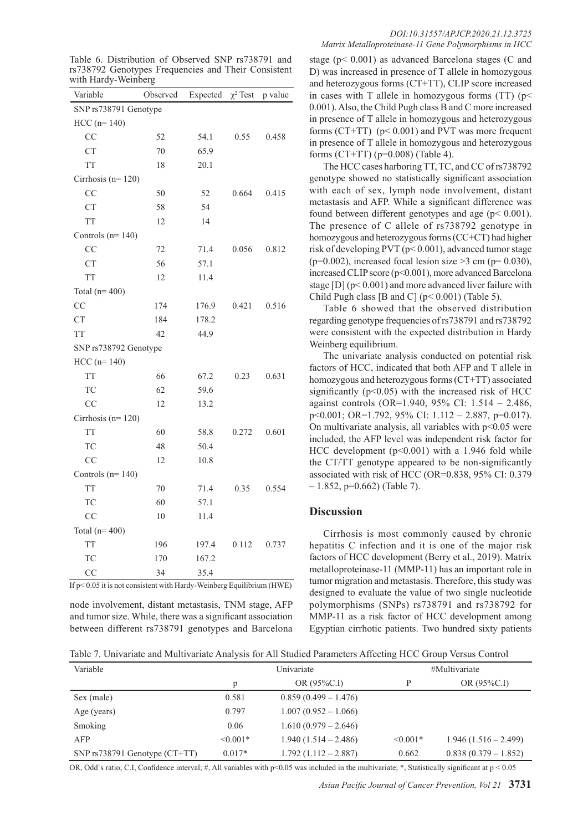Table 6. Distribution of Observed SNP rs738791 and rs738792 Genotypes Frequencies and Their Consistent with Hardy-Weinberg

| Variable              | Observed<br>Expected |       | $\chi^2$ Test | p value |
|-----------------------|----------------------|-------|---------------|---------|
| SNP rs738791 Genotype |                      |       |               |         |
| $HCC (n= 140)$        |                      |       |               |         |
| CC                    | 52                   | 54.1  | 0.55          | 0.458   |
| <b>CT</b>             | 70                   | 65.9  |               |         |
| <b>TT</b>             | 18                   | 20.1  |               |         |
| Cirrhosis ( $n=120$ ) |                      |       |               |         |
| CC                    | 50                   | 52    | 0.664         | 0.415   |
| <b>CT</b>             | 58                   | 54    |               |         |
| <b>TT</b>             | 12                   | 14    |               |         |
| Controls $(n=140)$    |                      |       |               |         |
| CC                    | 72                   | 71.4  | 0.056         | 0.812   |
| <b>CT</b>             | 56                   | 57.1  |               |         |
| <b>TT</b>             | 12                   | 11.4  |               |         |
| Total $(n=400)$       |                      |       |               |         |
| <b>CC</b>             | 174                  | 176.9 | 0.421         | 0.516   |
| <b>CT</b>             | 184                  | 178.2 |               |         |
| <b>TT</b>             | 42                   | 44.9  |               |         |
| SNP rs738792 Genotype |                      |       |               |         |
| $HCC (n=140)$         |                      |       |               |         |
| <b>TT</b>             | 66                   | 67.2  | 0.23          | 0.631   |
| <b>TC</b>             | 62                   | 59.6  |               |         |
| CC                    | 12                   | 13.2  |               |         |
| Cirrhosis ( $n=120$ ) |                      |       |               |         |
| <b>TT</b>             | 60                   | 58.8  | 0.272         | 0.601   |
| <b>TC</b>             | 48                   | 50.4  |               |         |
| CC                    | 12                   | 10.8  |               |         |
| Controls ( $n=140$ )  |                      |       |               |         |
| <b>TT</b>             | 70                   | 71.4  | 0.35          | 0.554   |
| <b>TC</b>             | 60                   | 57.1  |               |         |
| CC                    | 10                   | 11.4  |               |         |
| Total $(n=400)$       |                      |       |               |         |
| <b>TT</b>             | 196                  | 197.4 | 0.112         | 0.737   |
| TC                    | 170                  | 167.2 |               |         |
| CC                    | 34                   | 35.4  |               |         |

If p< 0.05 it is not consistent with Hardy-Weinberg Equilibrium (HWE)

node involvement, distant metastasis, TNM stage, AFP and tumor size. While, there was a significant association between different rs738791 genotypes and Barcelona

#### *DOI:10.31557/APJCP.2020.21.12.3725 Matrix Metalloproteinase-11 Gene Polymorphisms in HCC*

stage (p< 0.001) as advanced Barcelona stages (C and D) was increased in presence of T allele in homozygous and heterozygous forms (CT+TT), CLIP score increased in cases with T allele in homozygous forms  $(TT)$  (p< 0.001). Also, the Child Pugh class B and C more increased in presence of T allele in homozygous and heterozygous forms (CT+TT)  $(p< 0.001)$  and PVT was more frequent in presence of T allele in homozygous and heterozygous forms (CT+TT) (p=0.008) (Table 4).

The HCC cases harboring TT, TC, and CC of rs738792 genotype showed no statistically significant association with each of sex, lymph node involvement, distant metastasis and AFP. While a significant difference was found between different genotypes and age (p< 0.001). The presence of C allele of rs738792 genotype in homozygous and heterozygous forms (CC+CT) had higher risk of developing PVT (p< 0.001), advanced tumor stage (p=0.002), increased focal lesion size >3 cm (p= 0.030), increased CLIP score (p<0.001), more advanced Barcelona stage  $[D]$  ( $p < 0.001$ ) and more advanced liver failure with Child Pugh class [B and C] ( $p < 0.001$ ) (Table 5).

Table 6 showed that the observed distribution regarding genotype frequencies of rs738791 and rs738792 were consistent with the expected distribution in Hardy Weinberg equilibrium.

The univariate analysis conducted on potential risk factors of HCC, indicated that both AFP and T allele in homozygous and heterozygous forms (CT+TT) associated significantly  $(p<0.05)$  with the increased risk of HCC against controls (OR=1.940, 95% CI: 1.514 – 2.486, p<0.001; OR=1.792, 95% CI: 1.112 – 2.887, p=0.017). On multivariate analysis, all variables with  $p<0.05$  were included, the AFP level was independent risk factor for HCC development ( $p<0.001$ ) with a 1.946 fold while the CT/TT genotype appeared to be non-significantly associated with risk of HCC (OR=0.838, 95% CI: 0.379  $-1.852$ , p=0.662) (Table 7).

#### **Discussion**

Cirrhosis is most commonly caused by chronic hepatitis C infection and it is one of the major risk factors of HCC development (Berry et al., 2019). Matrix metalloproteinase-11 (MMP-11) has an important role in tumor migration and metastasis. Therefore, this study was designed to evaluate the value of two single nucleotide polymorphisms (SNPs) rs738791 and rs738792 for MMP-11 as a risk factor of HCC development among Egyptian cirrhotic patients. Two hundred sixty patients

| Table 7. Univariate and Multivariate Analysis for All Studied Parameters Affecting HCC Group Versus Control |  |  |  |  |
|-------------------------------------------------------------------------------------------------------------|--|--|--|--|
|                                                                                                             |  |  |  |  |

| Variable                          |               | Univariate             | #Multivariate |                        |  |
|-----------------------------------|---------------|------------------------|---------------|------------------------|--|
|                                   |               | OR $(95\%C.I)$         | D             | OR (95%C.I)            |  |
| Sex (male)                        | 0.581         | $0.859(0.499 - 1.476)$ |               |                        |  |
| Age (years)                       | 0.797         | $1.007(0.952 - 1.066)$ |               |                        |  |
| Smoking                           | 0.06          | $1.610(0.979 - 2.646)$ |               |                        |  |
| AFP                               | $\leq 0.001*$ | $1.940(1.514 - 2.486)$ | $\leq 0.001*$ | $1.946(1.516 - 2.499)$ |  |
| SNP $rs738791$ Genotype $(CT+TT)$ | $0.017*$      | $1.792(1.112 - 2.887)$ | 0.662         | $0.838(0.379 - 1.852)$ |  |

OR, Odd`s ratio; C.I, Confidence interval; #, All variables with p<0.05 was included in the multivariate; \*, Statistically significant at p < 0.05

*Asian Pacific Journal of Cancer Prevention, Vol 21* **3731**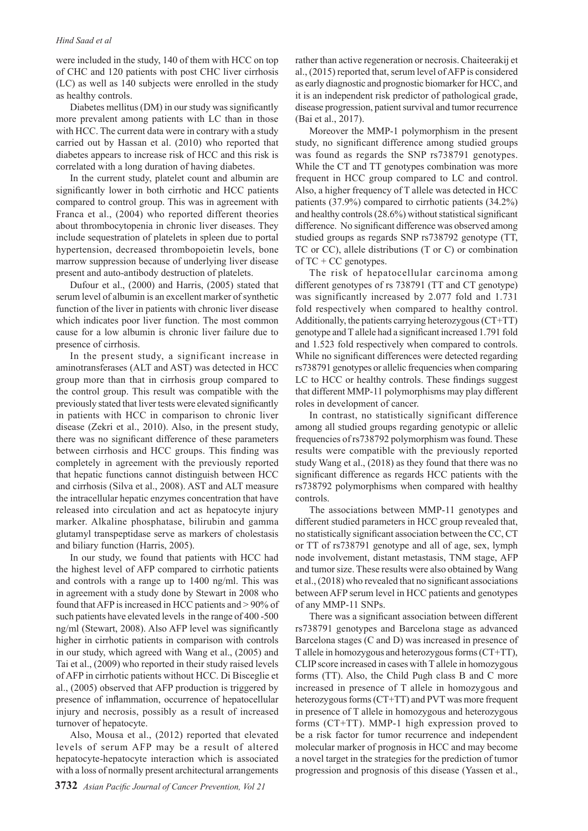#### *Hind Saad et al*

were included in the study, 140 of them with HCC on top of CHC and 120 patients with post CHC liver cirrhosis (LC) as well as 140 subjects were enrolled in the study as healthy controls.

Diabetes mellitus (DM) in our study was significantly more prevalent among patients with LC than in those with HCC. The current data were in contrary with a study carried out by Hassan et al. (2010) who reported that diabetes appears to increase risk of HCC and this risk is correlated with a long duration of having diabetes.

In the current study, platelet count and albumin are significantly lower in both cirrhotic and HCC patients compared to control group. This was in agreement with Franca et al., (2004) who reported different theories about thrombocytopenia in chronic liver diseases. They include sequestration of platelets in spleen due to portal hypertension, decreased thrombopoietin levels, bone marrow suppression because of underlying liver disease present and auto-antibody destruction of platelets.

Dufour et al., (2000) and Harris, (2005) stated that serum level of albumin is an excellent marker of synthetic function of the liver in patients with chronic liver disease which indicates poor liver function. The most common cause for a low albumin is chronic liver failure due to presence of cirrhosis.

In the present study, a significant increase in aminotransferases (ALT and AST) was detected in HCC group more than that in cirrhosis group compared to the control group. This result was compatible with the previously stated that liver tests were elevated significantly in patients with HCC in comparison to chronic liver disease (Zekri et al., 2010). Also, in the present study, there was no significant difference of these parameters between cirrhosis and HCC groups. This finding was completely in agreement with the previously reported that hepatic functions cannot distinguish between HCC and cirrhosis (Silva et al., 2008). AST and ALT measure the intracellular hepatic enzymes concentration that have released into circulation and act as hepatocyte injury marker. Alkaline phosphatase, bilirubin and gamma glutamyl transpeptidase serve as markers of cholestasis and biliary function (Harris, 2005).

In our study, we found that patients with HCC had the highest level of AFP compared to cirrhotic patients and controls with a range up to 1400 ng/ml. This was in agreement with a study done by Stewart in 2008 who found that AFP is increased in HCC patients and > 90% of such patients have elevated levels in the range of 400 -500 ng/ml (Stewart, 2008). Also AFP level was significantly higher in cirrhotic patients in comparison with controls in our study, which agreed with Wang et al., (2005) and Tai et al., (2009) who reported in their study raised levels of AFP in cirrhotic patients without HCC. Di Bisceglie et al., (2005) observed that AFP production is triggered by presence of inflammation, occurrence of hepatocellular injury and necrosis, possibly as a result of increased turnover of hepatocyte.

Also, Mousa et al., (2012) reported that elevated levels of serum AFP may be a result of altered hepatocyte-hepatocyte interaction which is associated with a loss of normally present architectural arrangements

rather than active regeneration or necrosis. Chaiteerakij et al., (2015) reported that, serum level of AFP is considered as early diagnostic and prognostic biomarker for HCC, and it is an independent risk predictor of pathological grade, disease progression, patient survival and tumor recurrence (Bai et al., 2017).

Moreover the MMP-1 polymorphism in the present study, no significant difference among studied groups was found as regards the SNP rs738791 genotypes. While the CT and TT genotypes combination was more frequent in HCC group compared to LC and control. Also, a higher frequency of T allele was detected in HCC patients (37.9%) compared to cirrhotic patients (34.2%) and healthy controls (28.6%) without statistical significant difference. No significant difference was observed among studied groups as regards SNP rs738792 genotype (TT, TC or CC), allele distributions (T or C) or combination of TC + CC genotypes.

The risk of hepatocellular carcinoma among different genotypes of rs 738791 (TT and CT genotype) was significantly increased by 2.077 fold and 1.731 fold respectively when compared to healthy control. Additionally, the patients carrying heterozygous (CT+TT) genotype and T allele had a significant increased 1.791 fold and 1.523 fold respectively when compared to controls. While no significant differences were detected regarding rs738791 genotypes or allelic frequencies when comparing LC to HCC or healthy controls. These findings suggest that different MMP-11 polymorphisms may play different roles in development of cancer.

In contrast, no statistically significant difference among all studied groups regarding genotypic or allelic frequencies of rs738792 polymorphism was found. These results were compatible with the previously reported study Wang et al., (2018) as they found that there was no significant difference as regards HCC patients with the rs738792 polymorphisms when compared with healthy controls.

The associations between MMP-11 genotypes and different studied parameters in HCC group revealed that, no statistically significant association between the CC, CT or TT of rs738791 genotype and all of age, sex, lymph node involvement, distant metastasis, TNM stage, AFP and tumor size. These results were also obtained by Wang et al., (2018) who revealed that no significant associations between AFP serum level in HCC patients and genotypes of any MMP-11 SNPs.

There was a significant association between different rs738791 genotypes and Barcelona stage as advanced Barcelona stages (C and D) was increased in presence of T allele in homozygous and heterozygous forms (CT+TT), CLIP score increased in cases with T allele in homozygous forms (TT). Also, the Child Pugh class B and C more increased in presence of T allele in homozygous and heterozygous forms (CT+TT) and PVT was more frequent in presence of T allele in homozygous and heterozygous forms (CT+TT). MMP-1 high expression proved to be a risk factor for tumor recurrence and independent molecular marker of prognosis in HCC and may become a novel target in the strategies for the prediction of tumor progression and prognosis of this disease (Yassen et al.,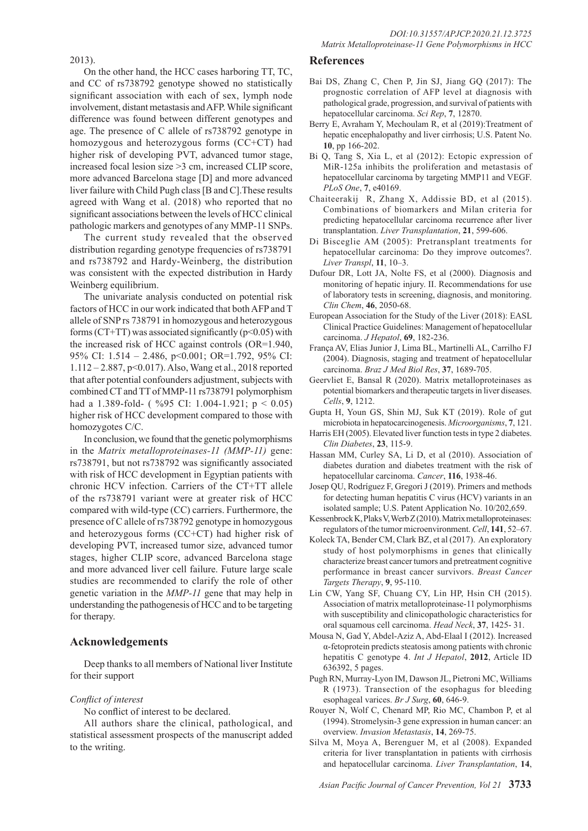2013).

On the other hand, the HCC cases harboring TT, TC, and CC of rs738792 genotype showed no statistically significant association with each of sex, lymph node involvement, distant metastasis and AFP. While significant difference was found between different genotypes and age. The presence of C allele of rs738792 genotype in homozygous and heterozygous forms (CC+CT) had higher risk of developing PVT, advanced tumor stage, increased focal lesion size >3 cm, increased CLIP score, more advanced Barcelona stage [D] and more advanced liver failure with Child Pugh class [B and C].These results agreed with Wang et al. (2018) who reported that no significant associations between the levels of HCC clinical pathologic markers and genotypes of any MMP-11 SNPs.

The current study revealed that the observed distribution regarding genotype frequencies of rs738791 and rs738792 and Hardy-Weinberg, the distribution was consistent with the expected distribution in Hardy Weinberg equilibrium.

The univariate analysis conducted on potential risk factors of HCC in our work indicated that both AFP and T allele of SNP rs 738791 in homozygous and heterozygous forms (CT+TT) was associated significantly ( $p$ <0.05) with the increased risk of HCC against controls (OR=1.940, 95% CI: 1.514 – 2.486, p<0.001; OR=1.792, 95% CI: 1.112 – 2.887, p<0.017). Also, Wang et al., 2018 reported that after potential confounders adjustment, subjects with combined CT and TT of MMP-11 rs738791 polymorphism had a 1.389-fold- ( %95 CI: 1.004-1.921;  $p < 0.05$ ) higher risk of HCC development compared to those with homozygotes C/C.

In conclusion, we found that the genetic polymorphisms in the *Matrix metalloproteinases-11 (MMP-11)* gene: rs738791, but not rs738792 was significantly associated with risk of HCC development in Egyptian patients with chronic HCV infection. Carriers of the CT+TT allele of the rs738791 variant were at greater risk of HCC compared with wild-type (CC) carriers. Furthermore, the presence of C allele of rs738792 genotype in homozygous and heterozygous forms (CC+CT) had higher risk of developing PVT, increased tumor size, advanced tumor stages, higher CLIP score, advanced Barcelona stage and more advanced liver cell failure. Future large scale studies are recommended to clarify the role of other genetic variation in the *MMP-11* gene that may help in understanding the pathogenesis of HCC and to be targeting for therapy.

# **Acknowledgements**

Deep thanks to all members of National liver Institute for their support

# *Conflict of interest*

No conflict of interest to be declared.

All authors share the clinical, pathological, and statistical assessment prospects of the manuscript added to the writing.

# **References**

- Bai DS, Zhang C, Chen P, Jin SJ, Jiang GQ (2017): The prognostic correlation of AFP level at diagnosis with pathological grade, progression, and survival of patients with hepatocellular carcinoma. *Sci Rep*, **7**, 12870.
- Berry E, Avraham Y, Mechoulam R, et al (2019):Treatment of hepatic encephalopathy and liver cirrhosis; U.S. Patent No. **10**, pp 166-202.
- Bi Q, Tang S, Xia L, et al (2012): Ectopic expression of MiR-125a inhibits the proliferation and metastasis of hepatocellular carcinoma by targeting MMP11 and VEGF. *PLoS One*, **7**, e40169.
- Chaiteerakij R, Zhang X, Addissie BD, et al (2015). Combinations of biomarkers and Milan criteria for predicting hepatocellular carcinoma recurrence after liver transplantation. *Liver Transplantation*, **21**, 599-606.
- Di Bisceglie AM (2005): Pretransplant treatments for hepatocellular carcinoma: Do they improve outcomes?. *Liver Transpl*, **11**, 10–3.
- Dufour DR, Lott JA, Nolte FS, et al (2000). Diagnosis and monitoring of hepatic injury. II. Recommendations for use of laboratory tests in screening, diagnosis, and monitoring. *Clin Chem*, **46**, 2050-68.
- European Association for the Study of the Liver (2018): EASL Clinical Practice Guidelines: Management of hepatocellular carcinoma. *J Hepatol*, **69**, 182-236.
- França AV, Elias Junior J, Lima BL, Martinelli AL, Carrilho FJ (2004). Diagnosis, staging and treatment of hepatocellular carcinoma. *Braz J Med Biol Res*, **37**, 1689-705.
- Geervliet E, Bansal R (2020). Matrix metalloproteinases as potential biomarkers and therapeutic targets in liver diseases. *Cells*, **9**, 1212.
- Gupta H, Youn GS, Shin MJ, Suk KT (2019). Role of gut microbiota in hepatocarcinogenesis. *Microorganisms*, **7**, 121.
- Harris EH (2005). Elevated liver function tests in type 2 diabetes. *Clin Diabetes*, **23**, 115-9.
- Hassan MM, Curley SA, Li D, et al (2010). Association of diabetes duration and diabetes treatment with the risk of hepatocellular carcinoma. *Cancer*, **116**, 1938-46.
- Josep QU, Rodríguez F, Gregori J (2019). Primers and methods for detecting human hepatitis C virus (HCV) variants in an isolated sample; U.S. Patent Application No. 10/202,659.
- Kessenbrock K, Plaks V, Werb Z (2010). Matrix metalloproteinases: regulators of the tumor microenvironment. *Cell*, **141**, 52–67.
- Koleck TA, Bender CM, Clark BZ, et al (2017). An exploratory study of host polymorphisms in genes that clinically characterize breast cancer tumors and pretreatment cognitive performance in breast cancer survivors. *Breast Cancer Targets Therapy*, **9**, 95-110.
- Lin CW, Yang SF, Chuang CY, Lin HP, Hsin CH (2015). Association of matrix metalloproteinase-11 polymorphisms with susceptibility and clinicopathologic characteristics for oral squamous cell carcinoma. *Head Neck*, **37**, 1425- 31.
- Mousa N, Gad Y, Abdel-Aziz A, Abd-Elaal I (2012). Increased α-fetoprotein predicts steatosis among patients with chronic hepatitis C genotype 4. *Int J Hepatol*, **2012**, Article ID 636392, 5 pages.
- Pugh RN, Murray-Lyon IM, Dawson JL, Pietroni MC, Williams R (1973). Transection of the esophagus for bleeding esophageal varices. *Br J Surg*, **60**, 646-9.
- Rouyer N, Wolf C, Chenard MP, Rio MC, Chambon P, et al (1994). Stromelysin-3 gene expression in human cancer: an overview. *Invasion Metastasis*, **14**, 269-75.
- Silva M, Moya A, Berenguer M, et al (2008). Expanded criteria for liver transplantation in patients with cirrhosis and hepatocellular carcinoma. *Liver Transplantation*, **14**,

*Asian Pacific Journal of Cancer Prevention, Vol 21* **3733**